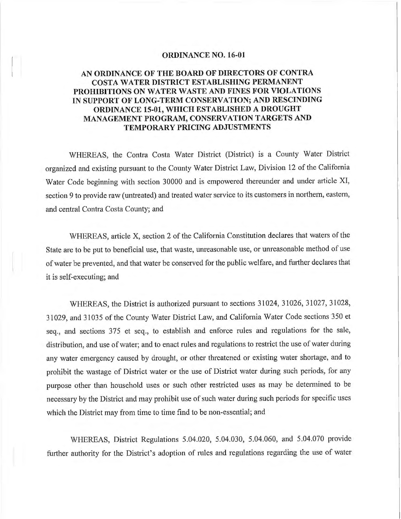#### **ORDINANCE NO. 16-01**

## **AN ORDINANCE OF THE BOARD OF DIRECTORS OF CONTRA COST A WATER DISTRICT ESTABLISHING PERMANENT PROHIBITIONS ON WATER WASTE AND FINES FOR VIOLATIONS IN SUPPORT OF LONG-TERM CONSERVATION; AND RESCINDING ORDINANCE 15-01, WHICH ESTABLISHED A DROUGHT MANAGEMENT PROGRAM, CONSERVATION TARGETS AND TEMPORARY PRICING ADJUSTMENTS**

WHEREAS, the Contra Costa Water District (District) is a County Water District organized and existing pursuant to the County Water District Law, Division 12 of the California Water Code beginning with section 30000 and is empowered thereunder and under article XI, section 9 to provide raw (untreated) and treated water service to its customers in northern, eastern, and central Contra Costa County; and

WHEREAS, article X, section 2 of the California Constitution declares that waters of the State are to be put to beneficial use, that waste, unreasonable use, or unreasonable method of use of water be prevented, and that water be conserved for the public welfare, and further declares that it is self-executing; and

WHEREAS, the District is authorized pursuant to sections 31024, 31026, 31027, 31028, 31029, and 31035 of the County Water District Law, and California Water Code sections 350 et seq., and sections 375 et seq., to establish and enforce rules and regulations for the sale, distribution, and use of water; and to enact rules and regulations to restrict the use of water during any water emergency caused by drought, or other threatened or existing water shortage, and to prohibit the wastage of District water or the use of District water during such periods, for any purpose other than household uses or such other restricted uses as may be determined to be necessary by the District and may prohibit use of such water during such periods for specific uses which the District may from time to time find to be non-essential; and

WHEREAS, District Regulations 5.04.020, 5.04.030, 5.04.060, and 5.04.070 provide further authority for the District's adoption of rules and regulations regarding the use of water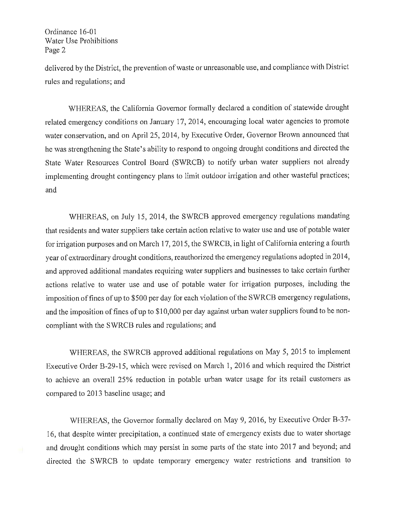delivered by the District, the prevention of waste or unreasonable use, and compliance with District rules and regulations; and

WHEREAS, the California Governor formally declared a condition of statewide drought related emergency conditions on January 17, 2014, encouraging local water agencies to promote water conservation, and on April 25, 2014, by Executive Order, Governor Brown announced that he was strengthening the State's ability to respond to ongoing drought conditions and directed the State Water Resources Control Board (SWRCB) to notify urban water suppliers not already implementing drought contingency plans to limit outdoor irrigation and other wasteful practices; and

WHEREAS, on July 15, 2014, the SWRCB approved emergency regulations mandating that residents and water suppliers take certain action relative to water use and use of potable water for irrigation purposes and on March 17, 2015, the SWRCB, in light of California entering a fourth year of extraordinary drought conditions, reauthorized the emergency regulations adopted in 2014, and approved additional mandates requiring water suppliers and businesses to take certain further actions relative to water use and use of potable water for irrigation purposes, including the imposition of fines of up to \$500 per day for each violation of the SWRCB emergency regulations, and the imposition of fines of up to \$10,000 per day against urban water suppliers found to be noncompliant with the SWRCB rules and regulations; and

WHEREAS, the SWRCB approved additional regulations on May 5, 2015 to implement Executive Order B-29-15, which were revised on March 1, 2016 and which required the District to achieve an overall 25% reduction in potable urban water usage for its retail customers as compared to 2013 baseline usage; and

WHEREAS, the Governor formally declared on May 9, 2016, by Executive Order B-37- 16, that despite winter precipitation, a continued state of emergency exists due to water shortage and drought conditions which may persist in some parts of the state into 2017 and beyond; and directed the SWRCB to update temporary emergency water restrictions and transition to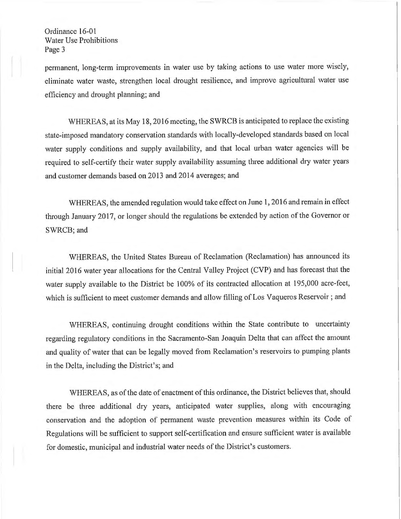permanent, long-term improvements in water use by taking actions to use water more wisely, eliminate water waste, strengthen local drought resilience, and improve agricultural water use efficiency and drought planning; and

WHEREAS, at its May 18, 2016 meeting, the SWRCB is anticipated to replace the existing state-imposed mandatory conservation standards with locally-developed standards based on local water supply conditions and supply availability, and that local urban water agencies will be required to self-certify their water supply availability assuming three additional dry water years and customer demands based on 2013 and 2014 averages; and

WHEREAS, the amended regulation would take effect on June 1, 2016 and remain in effect through January 2017, or longer should the regulations be extended by action of the Governor or SWRCB; and

WHEREAS, the United States Bureau of Reclamation (Reclamation) has announced its initial 2016 water year allocations for the Central Valley Project (CVP) and has forecast that the water supply available to the District be 100% of its contracted allocation at 195,000 acre-feet, which is sufficient to meet customer demands and allow filling of Los Vaqueros Reservoir; and

WHEREAS, continuing drought conditions within the State contribute to uncertainty regarding regulatory conditions in the Sacramento-San Joaquin Delta that can affect the amount and quality of water that can be legally moved from Reclamation's reservoirs to pumping plants in the Delta, including the District's; and

WHEREAS, as of the date of enactment of this ordinance, the District believes that, should there be three additional dry years, anticipated water supplies, along with encouraging conservation and the adoption of permanent waste prevention measures within its Code of Regulations will be sufficient to support self-certification and ensure sufficient water is available for domestic, municipal and industrial water needs of the District's customers.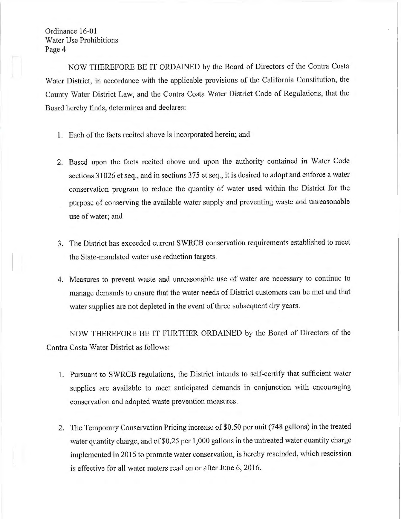NOW THEREFORE BE IT ORDAINED by the Board of Directors of the Contra Costa Water District, in accordance with the applicable provisions of the California Constitution, the County Water District Law, and the Contra Costa Water District Code of Regulations, that the Board hereby finds, determines and declares:

- 1. Each of the facts recited above is incorporated herein; and
- 2. Based upon the facts recited above and upon the authority contained in Water Code sections 31026 et seq., and in sections 375 et seq., it is desired to adopt and enforce a water conservation program to reduce the quantity of water used within the District for the purpose of conserving the available water supply and preventing waste and unreasonable use of water; and
- 3. The District has exceeded current SWRCB conservation requirements established to meet the State-mandated water use reduction targets.
- 4. Measures to prevent waste and unreasonable use of water are necessary to continue to manage demands to ensure that the water needs of District customers can be met and that water supplies are not depleted in the event of three subsequent dry years.

NOW THEREFORE BE IT FURTHER ORDAINED by the Board of Directors of the Contra Costa Water District as follows:

- 1. Pursuant to SWRCB regulations, the District intends to self-certify that sufficient water supplies are available to meet anticipated demands in conjunction with encouraging conservation and adopted waste prevention measures.
- 2. The Temporary Conservation Pricing increase of \$0.50 per unit (748 gallons) in the treated water quantity charge, and of \$0.25 per 1,000 gallons in the untreated water quantity charge implemented in 2015 to promote water conservation, is hereby rescinded, which rescission is effective for all water meters read on or after June 6, 2016.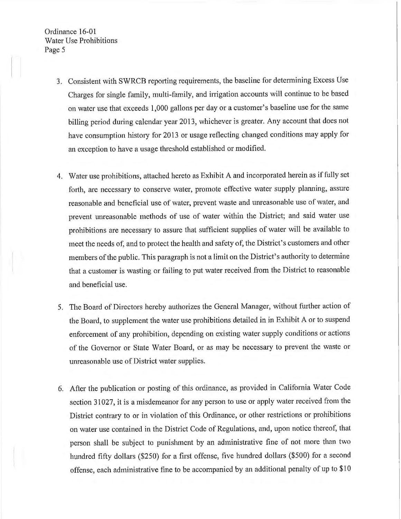- 3. Consistent with SWRCB reporting requirements, the baseline for determining Excess Use Charges for single family, multi-family, and irrigation accounts will continue to be based on water use that exceeds 1,000 gallons per day or a customer's baseline use for the same billing period during calendar year 2013, whichever is greater. Any account that does not have consumption history for 2013 or usage reflecting changed conditions may apply for an exception to have a usage threshold established or modified.
- 4. Water use prohibitions, attached hereto as Exhibit A and incorporated herein as if fully set forth, are necessary to conserve water, promote effective water supply planning, assure reasonable and beneficial use of water, prevent waste and unreasonable use of water, and prevent unreasonable methods of use of water within the District; and said water use prohibitions are necessary to assure that sufficient supplies of water will be available to meet the needs of, and to protect the health and safety of, the District's customers and other members of the public. This paragraph is not a limit on the District's authority to determine that a customer is wasting or failing to put water received from the District to reasonable and beneficial use.
- 5. The Board of Directors hereby authorizes the General Manager, without further action of the Board, to supplement the water use prohibitions detailed in in Exhibit A or to suspend enforcement of any prohibition, depending on existing water supply conditions or actions of the Governor or State Water Board, or as may be necessary to prevent the waste or unreasonable use of District water supplies.
- 6. After the publication or posting of this ordinance, as provided in California Water Code section 31027, it is a misdemeanor for any person to use or apply water received from the District contrary to or in violation of this Ordinance, or other restrictions or prohibitions on water use contained in the District Code of Regulations, and, upon notice thereof, that person shall be subject to punishment by an administrative fine of not more than two hundred fifty dollars (\$250) for a first offense, five hundred dollars (\$500) for a second offense, each administrative fine to be accompanied by an additional penalty of up to \$10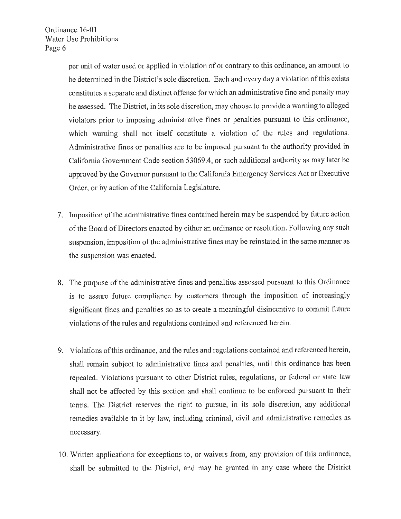per unit of water used or applied in violation of or contrary to this ordinance, an amount to be determined in the District's sole discretion. Each and every day a violation of this exists constitutes a separate and distinct offense for which an administrative fine and penalty may be assessed. The District, in its sole discretion, may choose to provide a warning to alleged violators prior to imposing administrative fines or penalties pursuant to this ordinance, which warning shall not itself constitute a violation of the rules and regulations. Administrative fines or penalties are to be imposed pursuant to the authority provided in California Government Code section 53069.4, or such additional authority as may later be approved by the Governor pursuant to the California Emergency Services Act or Executive Order, or by action of the California Legislature.

- 7. Imposition of the administrative fines contained herein may be suspended by future action of the Board of Directors enacted by either an ordinance or resolution. Following any such suspension, imposition of the administrative fines may be reinstated in the same manner as the suspension was enacted.
- 8. The purpose of the administrative fines and penalties assessed pursuant to this Ordinance is to assure future compliance by customers through the imposition of increasingly significant fines and penalties so as to create a meaningful disincentive to commit future violations of the rules and regulations contained and referenced herein.
- 9. Violations ofthis ordinance, and the rules and regulations contained and referenced herein, shall remain subject to administrative fines and penalties, until this ordinance has been repealed. Violations pursuant to other District rules, regulations, or federal or state law shall not be affected by this section and shall continue to be enforced pursuant to their terms. The District reserves the right to pursue, in its sole discretion, any additional remedies available to it by law, including criminal, civil and administrative remedies as necessary.
- 10. Written applications for exceptions to, or waivers from, any provision of this ordinance, shall be submitted to the District, and may be granted in any case where the District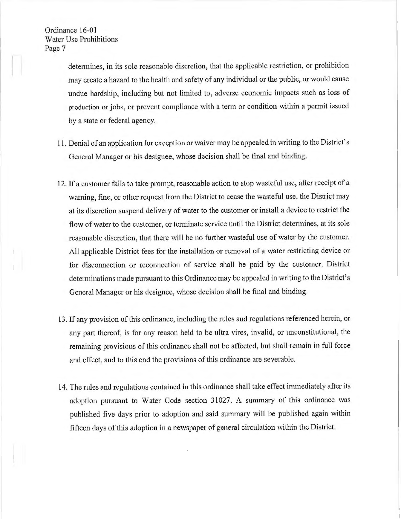determines, in its sole reasonable discretion, that the applicable restriction, or prohibition may create a hazard to the health and safety of any individual or the public, or would cause undue hardship, including but not limited to, adverse economic impacts such as loss of production or jobs, or prevent compliance with a term or condition within a permit issued by a state or federal agency.

- 11. Denial of an application for exception or waiver may be appealed in writing to the District's General Manager or his designee, whose decision shall be final and binding.
- 12. Ifa customer fails to take prompt, reasonable action to stop wasteful use, after receipt of <sup>a</sup> warning, fine, or other request from the District to cease the wasteful use, the District may at its discretion suspend delivery of water to the customer or install a device to restrict the flow of water to the customer, or terminate service until the District determines, at its sole reasonable discretion, that there will be no further wasteful use of water by the customer. All applicable District fees for the installation or removal of a water restricting device or for disconnection or reconnection of service shall be paid by the customer. District determinations made pursuant to this Ordinance may be appealed in writing to the District's General Manager or his designee, whose decision shall be final and binding.
- 13. If any provision of this ordinance, including the rules and regulations referenced herein, or any part thereof, is for any reason held to be ultra vires, invalid, or unconstitutional, the remaining provisions of this ordinance shall not be affected, but shall remain in full force and effect, and to this end the provisions of this ordinance are severable.
- 14. The rules and regulations contained in this ordinance shall take effect immediately after its adoption pursuant to Water Code section 31027. A summary of this ordinance was published five days prior to adoption and said summary will be published again within fifteen days of this adoption in a newspaper of general circulation within the District.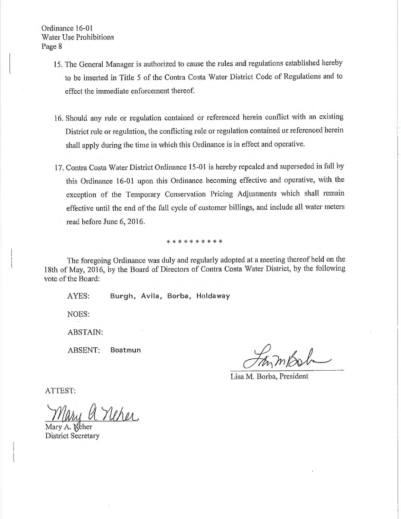- 15. The General Manager is authorized to cause the rules and regulations established hereby to be inserted in Title 5 of the Contra Costa Water District Code of Regulations and to effect the immediate enforcement thereof.
- 16. Should any rule or regulation contained or referenced herein conflict with an existing District rule or regulation, the conflicting rule or regulation contained or referenced herein shall apply during the time in which this Ordinance is in effect and operative.
- 17. Contra Costa Water District Ordinance 15-01 is hereby repealed and superseded in full by this Ordinance 16-01 upon this Ordinance becoming effective and operative, with the exception of the Temporary Conservation Pricing Adjustments which shall remain effective until the end of the full cycle of customer billings, and include all water meters read before June 6, 2016.

\* \* \* \* \* \* \* \* \*

The foregoing Ordinance was duly and regularly adopted at a meeting thereof held on the 18th of May, 2016, by the Board of Directors of Contra Costa Water District, by the following vote of the Board:

AYES: Burgh, Avila, Borba, Holdaway

NOES:

ABSTAIN:

ABSENT: Boatmun

Lisa M. Borba, President

ATTEST:

Mary A. Neher District Secretary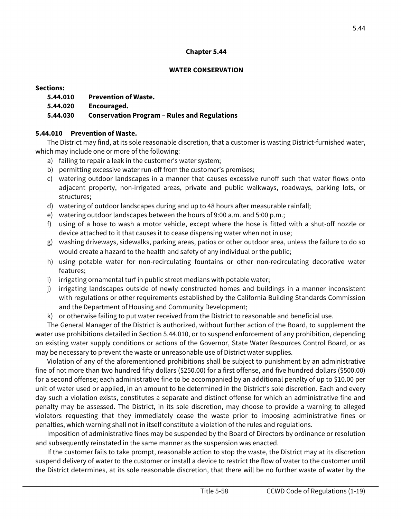### **Chapter 5.44**

#### **WATER CONSERVATION**

## **Sections:**

- **5.44.010 Prevention of Waste.**
- **5.44.020 Encouraged.**

# **5.44.030 Conservation Program – Rules and Regulations**

# **5.44.010 Prevention of Waste.**

 The District may find, at its sole reasonable discretion, that a customer is wasting District-furnished water, which may include one or more of the following:

- a) failing to repair a leak in the customer's water system;
- b) permitting excessive water run-off from the customer's premises;
- c) watering outdoor landscapes in a manner that causes excessive runoff such that water flows onto adjacent property, non-irrigated areas, private and public walkways, roadways, parking lots, or structures;
- d) watering of outdoor landscapes during and up to 48 hours after measurable rainfall;
- e) watering outdoor landscapes between the hours of 9:00 a.m. and 5:00 p.m.;
- f) using of a hose to wash a motor vehicle, except where the hose is fitted with a shut-off nozzle or device attached to it that causes it to cease dispensing water when not in use;
- g) washing driveways, sidewalks, parking areas, patios or other outdoor area, unless the failure to do so would create a hazard to the health and safety of any individual or the public;
- h) using potable water for non-recirculating fountains or other non-recirculating decorative water features;
- i) irrigating ornamental turf in public street medians with potable water;
- j) irrigating landscapes outside of newly constructed homes and buildings in a manner inconsistent and the Department of Housing and Community Development; with regulations or other requirements established by the California Building Standards Commission
- k) or otherwise failing to put water received from the District to reasonable and beneficial use.

 The General Manager of the District is authorized, without further action of the Board, to supplement the water use prohibitions detailed in Section 5.44.010, or to suspend enforcement of any prohibition, depending on existing water supply conditions or actions of the Governor, State Water Resources Control Board, or as may be necessary to prevent the waste or unreasonable use of District water supplies.

 for a second offense; each administrative fine to be accompanied by an additional penalty of up to \$10.00 per day such a violation exists, constitutes a separate and distinct offense for which an administrative fine and penalty may be assessed. The District, in its sole discretion, may choose to provide a warning to alleged penalties, which warning shall not in itself constitute a violation of the rules and regulations. Violation of any of the aforementioned prohibitions shall be subject to punishment by an administrative fine of not more than two hundred fifty dollars (\$250.00) for a first offense, and five hundred dollars (\$500.00) unit of water used or applied, in an amount to be determined in the District's sole discretion. Each and every violators requesting that they immediately cease the waste prior to imposing administrative fines or

 and subsequently reinstated in the same manner as the suspension was enacted. Imposition of administrative fines may be suspended by the Board of Directors by ordinance or resolution

 the District determines, at its sole reasonable discretion, that there will be no further waste of water by the If the customer fails to take prompt, reasonable action to stop the waste, the District may at its discretion suspend delivery of water to the customer or install a device to restrict the flow of water to the customer until